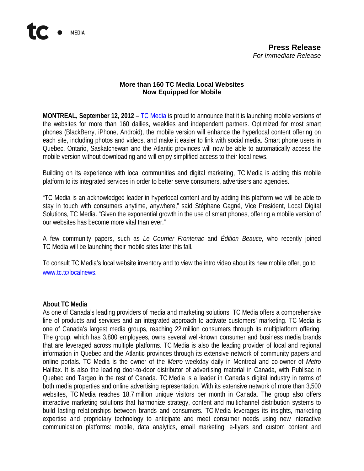## **More than 160 TC Media Local Websites Now Equipped for Mobile**

**MONTREAL, September 12, 2012** – [TC Media](http://www.tc.tc/) is proud to announce that it is launching mobile versions of the websites for more than 160 dailies, weeklies and independent partners. Optimized for most smart phones (BlackBerry, iPhone, Android), the mobile version will enhance the hyperlocal content offering on each site, including photos and videos, and make it easier to link with social media. Smart phone users in Quebec, Ontario, Saskatchewan and the Atlantic provinces will now be able to automatically access the mobile version without downloading and will enjoy simplified access to their local news.

Building on its experience with local communities and digital marketing, TC Media is adding this mobile platform to its integrated services in order to better serve consumers, advertisers and agencies.

"TC Media is an acknowledged leader in hyperlocal content and by adding this platform we will be able to stay in touch with consumers anytime, anywhere," said Stéphane Gagné, Vice President, Local Digital Solutions, TC Media. "Given the exponential growth in the use of smart phones, offering a mobile version of our websites has become more vital than ever."

A few community papers, such as *Le Courrier Frontenac* and *Édition Beauce,* who recently joined TC Media will be launching their mobile sites later this fall.

To consult TC Media's local website inventory and to view the intro video about its new mobile offer, go to [www.tc.tc/localnews.](http://www.tc.tc/localnews)

## **About TC Media**

As one of Canada's leading providers of media and marketing solutions, TC Media offers a comprehensive line of products and services and an integrated approach to activate customers' marketing. TC Media is one of Canada's largest media groups, reaching 22 million consumers through its multiplatform offering. The group, which has 3,800 employees, owns several well-known consumer and business media brands that are leveraged across multiple platforms. TC Media is also the leading provider of local and regional information in Quebec and the Atlantic provinces through its extensive network of community papers and online portals. TC Media is the owner of the *Metro* weekday daily in Montreal and co-owner of *Metro* Halifax. It is also the leading door-to-door distributor of advertising material in Canada, with Publisac in Quebec and Targeo in the rest of Canada. TC Media is a leader in Canada's digital industry in terms of both media properties and online advertising representation. With its extensive network of more than 3,500 websites, TC Media reaches 18.7 million unique visitors per month in Canada. The group also offers interactive marketing solutions that harmonize strategy, content and multichannel distribution systems to build lasting relationships between brands and consumers. TC Media leverages its insights, marketing expertise and proprietary technology to anticipate and meet consumer needs using new interactive communication platforms: mobile, data analytics, email marketing, e-flyers and custom content and